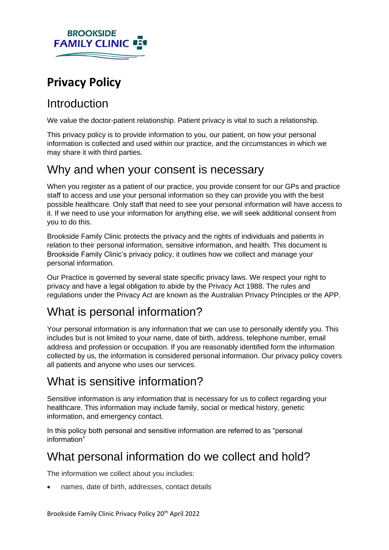# **BROOKSIDE FAMILY CLINIC**

# **Privacy Policy**

# Introduction

We value the doctor-patient relationship. Patient privacy is vital to such a relationship*.*

This privacy policy is to provide information to you, our patient, on how your personal information is collected and used within our practice, and the circumstances in which we may share it with third parties.

## Why and when your consent is necessary

When you register as a patient of our practice, you provide consent for our GPs and practice staff to access and use your personal information so they can provide you with the best possible healthcare. Only staff that need to see your personal information will have access to it. If we need to use your information for anything else, we will seek additional consent from you to do this.

Brookside Family Clinic protects the privacy and the rights of individuals and patients in relation to their personal information, sensitive information, and health. This document is Brookside Family Clinic's privacy policy, it outlines how we collect and manage your personal information.

Our Practice is governed by several state specific privacy laws. We respect your right to privacy and have a legal obligation to abide by the Privacy Act 1988. The rules and regulations under the Privacy Act are known as the Australian Privacy Principles or the APP.

# What is personal information?

Your personal information is any information that we can use to personally identify you. This includes but is not limited to your name, date of birth, address, telephone number, email address and profession or occupation. If you are reasonably identified form the information collected by us, the information is considered personal information. Our privacy policy covers all patients and anyone who uses our services.

## What is sensitive information?

Sensitive information is any information that is necessary for us to collect regarding your healthcare. This information may include family, social or medical history, genetic information, and emergency contact.

In this policy both personal and sensitive information are referred to as "personal information"

# What personal information do we collect and hold?

The information we collect about you includes:

• names, date of birth, addresses, contact details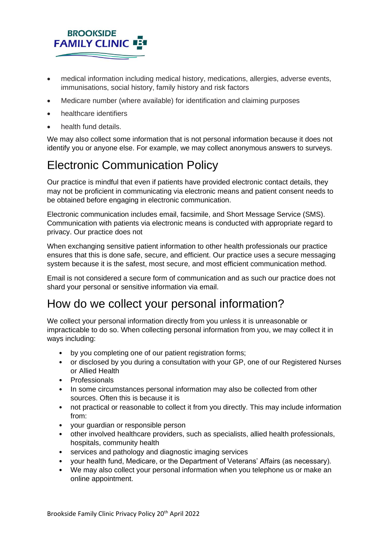# **BROOKSIDE FAMILY CLINIC**

- medical information including medical history, medications, allergies, adverse events, immunisations, social history, family history and risk factors
- Medicare number (where available) for identification and claiming purposes
- healthcare identifiers
- health fund details.

We may also collect some information that is not personal information because it does not identify you or anyone else. For example, we may collect anonymous answers to surveys.

# Electronic Communication Policy

Our practice is mindful that even if patients have provided electronic contact details, they may not be proficient in communicating via electronic means and patient consent needs to be obtained before engaging in electronic communication.

Electronic communication includes email, facsimile, and Short Message Service (SMS). Communication with patients via electronic means is conducted with appropriate regard to privacy. Our practice does not

When exchanging sensitive patient information to other health professionals our practice ensures that this is done safe, secure, and efficient. Our practice uses a secure messaging system because it is the safest, most secure, and most efficient communication method.

Email is not considered a secure form of communication and as such our practice does not shard your personal or sensitive information via email.

#### How do we collect your personal information?

We collect your personal information directly from you unless it is unreasonable or impracticable to do so. When collecting personal information from you, we may collect it in ways including:

- by you completing one of our patient registration forms;
- or disclosed by you during a consultation with your GP, one of our Registered Nurses or Allied Health
- Professionals
- In some circumstances personal information may also be collected from other sources. Often this is because it is
- not practical or reasonable to collect it from you directly. This may include information from:
- your guardian or responsible person
- other involved healthcare providers, such as specialists, allied health professionals, hospitals, community health
- services and pathology and diagnostic imaging services
- your health fund, Medicare, or the Department of Veterans' Affairs (as necessary).
- We may also collect your personal information when you telephone us or make an online appointment.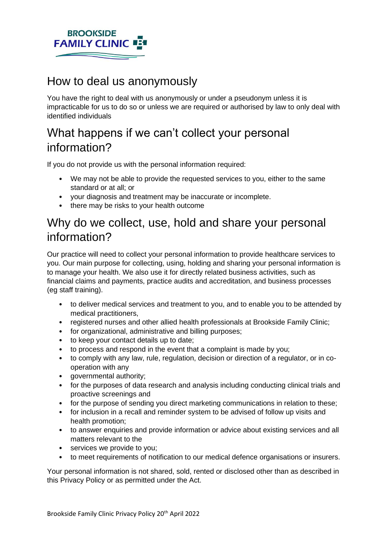

#### How to deal us anonymously

You have the right to deal with us anonymously or under a pseudonym unless it is impracticable for us to do so or unless we are required or authorised by law to only deal with identified individuals

## What happens if we can't collect your personal information?

If you do not provide us with the personal information required:

- We may not be able to provide the requested services to you, either to the same standard or at all; or
- your diagnosis and treatment may be inaccurate or incomplete.
- there may be risks to your health outcome

#### Why do we collect, use, hold and share your personal information?

Our practice will need to collect your personal information to provide healthcare services to you. Our main purpose for collecting, using, holding and sharing your personal information is to manage your health. We also use it for directly related business activities, such as financial claims and payments, practice audits and accreditation, and business processes (eg staff training).

- to deliver medical services and treatment to you, and to enable you to be attended by medical practitioners,
- registered nurses and other allied health professionals at Brookside Family Clinic;
- for organizational, administrative and billing purposes;
- to keep your contact details up to date;
- to process and respond in the event that a complaint is made by you;
- to comply with any law, rule, regulation, decision or direction of a regulator, or in cooperation with any
- governmental authority;
- for the purposes of data research and analysis including conducting clinical trials and proactive screenings and
- for the purpose of sending you direct marketing communications in relation to these;
- for inclusion in a recall and reminder system to be advised of follow up visits and health promotion;
- to answer enquiries and provide information or advice about existing services and all matters relevant to the
- services we provide to you;
- to meet requirements of notification to our medical defence organisations or insurers.

Your personal information is not shared, sold, rented or disclosed other than as described in this Privacy Policy or as permitted under the Act.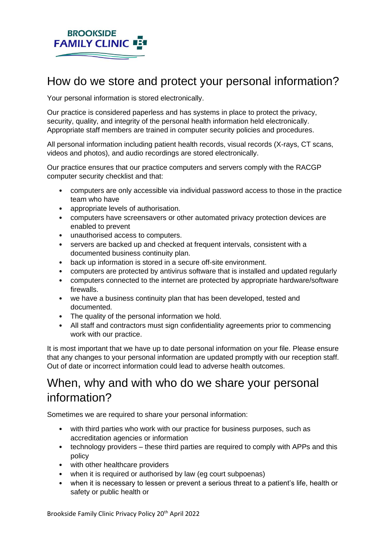

## How do we store and protect your personal information?

Your personal information is stored electronically.

Our practice is considered paperless and has systems in place to protect the privacy, security, quality, and integrity of the personal health information held electronically. Appropriate staff members are trained in computer security policies and procedures.

All personal information including patient health records, visual records (X-rays, CT scans, videos and photos), and audio recordings are stored electronically.

Our practice ensures that our practice computers and servers comply with the RACGP computer security checklist and that:

- computers are only accessible via individual password access to those in the practice team who have
- appropriate levels of authorisation.
- computers have screensavers or other automated privacy protection devices are enabled to prevent
- unauthorised access to computers.
- servers are backed up and checked at frequent intervals, consistent with a documented business continuity plan.
- back up information is stored in a secure off-site environment.
- computers are protected by antivirus software that is installed and updated regularly
- computers connected to the internet are protected by appropriate hardware/software firewalls.
- we have a business continuity plan that has been developed, tested and documented.
- The quality of the personal information we hold.
- All staff and contractors must sign confidentiality agreements prior to commencing work with our practice.

It is most important that we have up to date personal information on your file. Please ensure that any changes to your personal information are updated promptly with our reception staff. Out of date or incorrect information could lead to adverse health outcomes.

#### When, why and with who do we share your personal information?

Sometimes we are required to share your personal information:

- with third parties who work with our practice for business purposes, such as accreditation agencies or information
- technology providers these third parties are required to comply with APPs and this policy
- with other healthcare providers
- when it is required or authorised by law (eg court subpoenas)
- when it is necessary to lessen or prevent a serious threat to a patient's life, health or safety or public health or

Brookside Family Clinic Privacy Policy 20<sup>th</sup> April 2022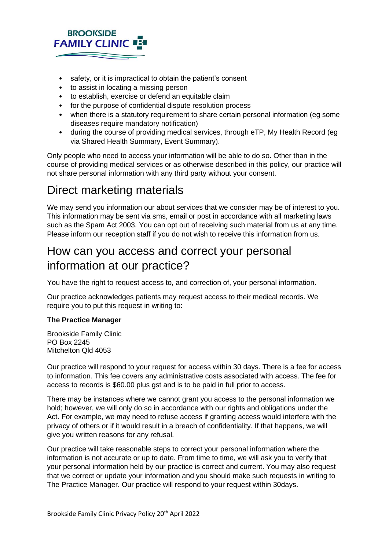#### **BROOKSIDE FAMILY CLINIC**

- safety, or it is impractical to obtain the patient's consent
- to assist in locating a missing person
- to establish, exercise or defend an equitable claim
- for the purpose of confidential dispute resolution process
- when there is a statutory requirement to share certain personal information (eg some diseases require mandatory notification)
- during the course of providing medical services, through eTP, My Health Record (eg via Shared Health Summary, Event Summary).

Only people who need to access your information will be able to do so. Other than in the course of providing medical services or as otherwise described in this policy, our practice will not share personal information with any third party without your consent.

#### Direct marketing materials

We may send you information our about services that we consider may be of interest to you. This information may be sent via sms, email or post in accordance with all marketing laws such as the Spam Act 2003. You can opt out of receiving such material from us at any time. Please inform our reception staff if you do not wish to receive this information from us.

#### How can you access and correct your personal information at our practice?

You have the right to request access to, and correction of, your personal information.

Our practice acknowledges patients may request access to their medical records. We require you to put this request in writing to:

#### **The Practice Manager**

Brookside Family Clinic PO Box 2245 Mitchelton Qld 4053

Our practice will respond to your request for access within 30 days. There is a fee for access to information. This fee covers any administrative costs associated with access. The fee for access to records is \$60.00 plus gst and is to be paid in full prior to access.

There may be instances where we cannot grant you access to the personal information we hold; however, we will only do so in accordance with our rights and obligations under the Act. For example, we may need to refuse access if granting access would interfere with the privacy of others or if it would result in a breach of confidentiality. If that happens, we will give you written reasons for any refusal.

Our practice will take reasonable steps to correct your personal information where the information is not accurate or up to date. From time to time, we will ask you to verify that your personal information held by our practice is correct and current. You may also request that we correct or update your information and you should make such requests in writing to The Practice Manager. Our practice will respond to your request within 30days.